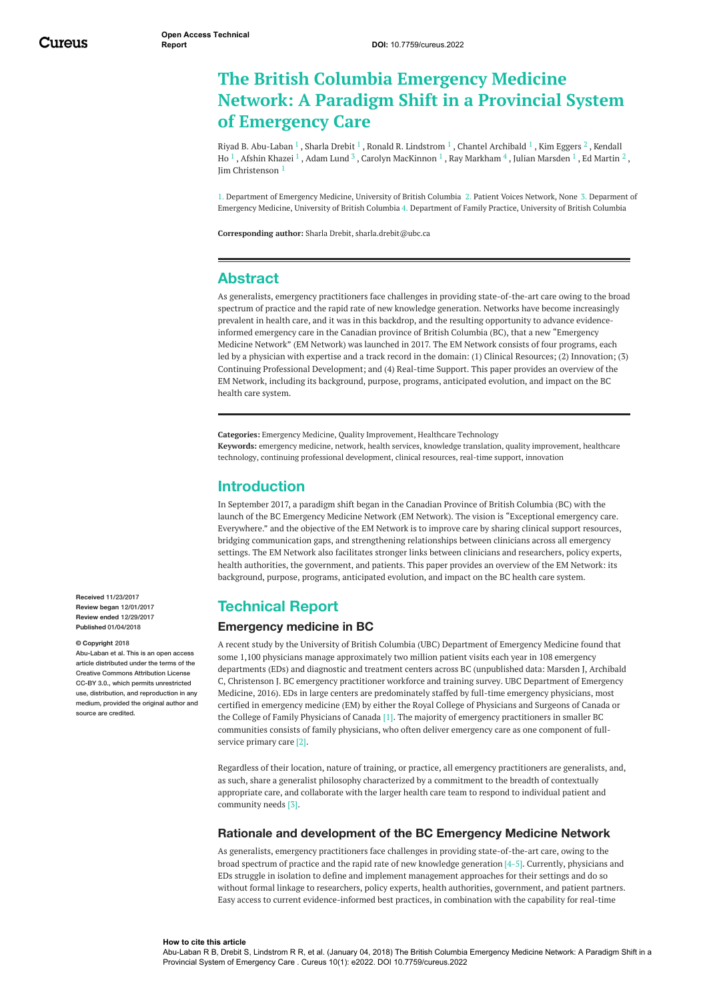# **The British Columbia Emergency Medicine Network: A Paradigm Shift in a Provincial System of Emergency Care**

Riyad B. [Abu-Laban](https://www.cureus.com/users/46631-riyad-b-abu-laban)  $^1$  , [Sharla](https://www.cureus.com/users/50922-sharla-drebit) Drebit  $^1$  , Ronald R. [Lindstrom](https://www.cureus.com/users/53802-ronald-r-lindstrom)  $^1$  , Chantel [Archibald](https://www.cureus.com/users/53869-chantel-archibald)  $^1$  , Kim [Eggers](https://www.cureus.com/users/53774-kim-eggers)  $^2$  , Kendall Ho  $^1$  , Afshin [Khazei](https://www.cureus.com/users/53870-afshin-khazei)  $^1$  , [Adam](https://www.cureus.com/users/52609-adam-lund) Lund  $^3$  , Carolyn [MacKinnon](https://www.cureus.com/users/53871-kendall-ho)  $^1$  , Ray [Markham](https://www.cureus.com/users/53874-ray-markham)  $^4$  , Julian [Marsden](https://www.cureus.com/users/53868-julian-marsden)  $^1$  , Ed [Martin](https://www.cureus.com/users/52611-ed-martin)  $^2$  , Jim [Christenson](https://www.cureus.com/users/53718-jim-christenson) 1

1. Department of Emergency Medicine, University of British Columbia 2. Patient Voices Network, None 3. Deparment of Emergency Medicine, University of British Columbia 4. Department of Family Practice, University of British Columbia

**Corresponding author:** Sharla Drebit, sharla.drebit@ubc.ca

## **Abstract**

As generalists, emergency practitioners face challenges in providing state-of-the-art care owing to the broad spectrum of practice and the rapid rate of new knowledge generation. Networks have become increasingly prevalent in health care, and it was in this backdrop, and the resulting opportunity to advance evidenceinformed emergency care in the Canadian province of British Columbia (BC), that a new "Emergency Medicine Network" (EM Network) was launched in 2017. The EM Network consists of four programs, each led by a physician with expertise and a track record in the domain: (1) Clinical Resources; (2) Innovation; (3) Continuing Professional Development; and (4) Real-time Support. This paper provides an overview of the EM Network, including its background, purpose, programs, anticipated evolution, and impact on the BC health care system.

**Categories:** Emergency Medicine, Quality Improvement, Healthcare Technology **Keywords:** emergency medicine, network, health services, knowledge translation, quality improvement, healthcare technology, continuing professional development, clinical resources, real-time support, innovation

## **Introduction**

In September 2017, a paradigm shift began in the Canadian Province of British Columbia (BC) with the launch of the BC Emergency Medicine Network (EM Network). The vision is "Exceptional emergency care. Everywhere." and the objective of the EM Network is to improve care by sharing clinical support resources, bridging communication gaps, and strengthening relationships between clinicians across all emergency settings. The EM Network also facilitates stronger links between clinicians and researchers, policy experts, health authorities, the government, and patients. This paper provides an overview of the EM Network: its background, purpose, programs, anticipated evolution, and impact on the BC health care system.

## **Technical Report**

### **Emergency medicine in BC**

A recent study by the University of British Columbia (UBC) Department of Emergency Medicine found that some 1,100 physicians manage approximately two million patient visits each year in 108 emergency departments (EDs) and diagnostic and treatment centers across BC (unpublished data: Marsden J, Archibald C, Christenson J. BC emergency practitioner workforce and training survey. UBC Department of Emergency Medicine, 2016). EDs in large centers are predominately staffed by full-time emergency physicians, most certified in emergency medicine (EM) by either the Royal College of Physicians and Surgeons of Canada or the College of Family Physicians of Canada [1]. The majority of emergency practitioners in smaller BC communities consists of family physicians, who often deliver emergency care as one component of fullservice primary care [2].

Regardless of their location, nature of training, or practice, all emergency practitioners are generalists, and, as such, share a generalist philosophy characterized by a commitment to the breadth of contextually appropriate care, and collaborate with the larger health care team to respond to individual patient and community needs [3].

### **Rationale and development of the BC Emergency Medicine Network**

As generalists, emergency practitioners face challenges in providing state-of-the-art care, owing to the broad spectrum of practice and the rapid rate of new knowledge generation [4-5]. Currently, physicians and EDs struggle in isolation to define and implement management approaches for their settings and do so without formal linkage to researchers, policy experts, health authorities, government, and patient partners. Easy access to current evidence-informed best practices, in combination with the capability for real-time

**Received** 11/23/2017 **Review began** 12/01/2017 **Review ended** 12/29/2017 **Published** 01/04/2018

#### **© Copyright** 2018

Abu-Laban et al. This is an open access article distributed under the terms of the Creative Commons Attribution License CC-BY 3.0., which permits unrestricted use, distribution, and reproduction in any medium, provided the original author and source are credited

#### **How to cite this article**

Abu-Laban R B, Drebit S, Lindstrom R R, et al. (January 04, 2018) The British Columbia Emergency Medicine Network: A Paradigm Shift in a Provincial System of Emergency Care . Cureus 10(1): e2022. DOI 10.7759/cureus.2022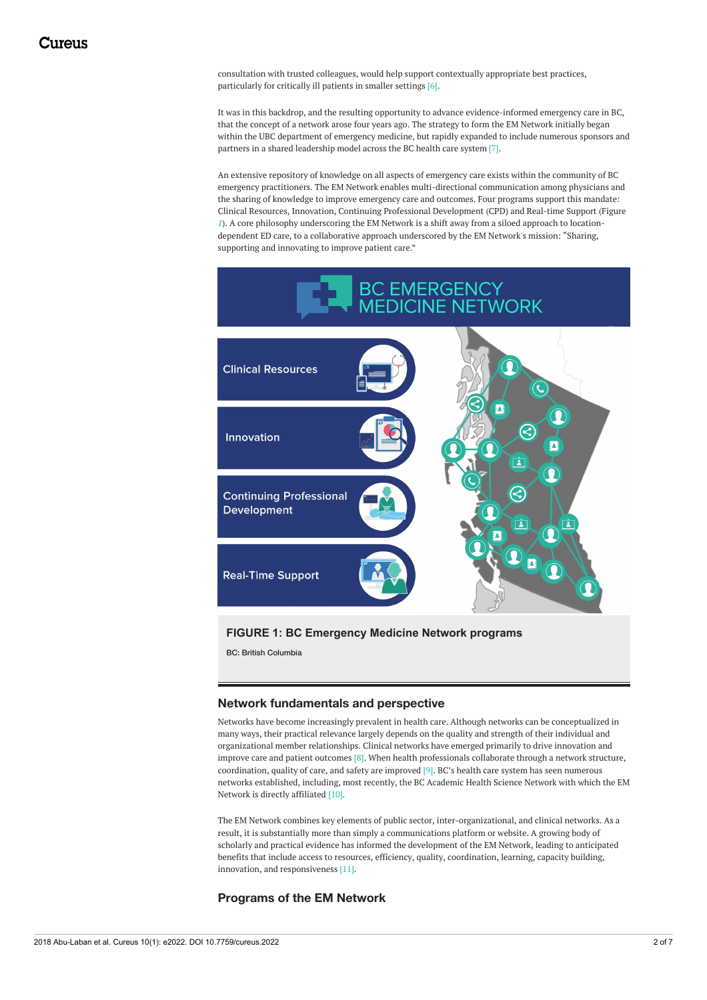consultation with trusted colleagues, would help support contextually appropriate best practices, particularly for critically ill patients in smaller settings [6].

It was in this backdrop, and the resulting opportunity to advance evidence-informed emergency care in BC, that the concept of a network arose four years ago. The strategy to form the EM Network initially began within the UBC department of emergency medicine, but rapidly expanded to include numerous sponsors and partners in a shared leadership model across the BC health care system [7].

An extensive repository of knowledge on all aspects of emergency care exists within the community of BC emergency practitioners. The EM Network enables multi-directional communication among physicians and the sharing of knowledge to improve emergency care and outcomes. Four programs support this mandate: Clinical Resources, Innovation, Continuing Professional Development (CPD) and Real-time Support (Figure *[1](#page-1-0)*). A core philosophy underscoring the EM Network is a shift away from a siloed approach to locationdependent ED care, to a collaborative approach underscored by the EM Network's mission: "Sharing, supporting and innovating to improve patient care."

<span id="page-1-0"></span>

## **FIGURE 1: BC Emergency Medicine Network programs**

BC: British Columbia

### **Network fundamentals and perspective**

Networks have become increasingly prevalent in health care. Although networks can be conceptualized in many ways, their practical relevance largely depends on the quality and strength of their individual and organizational member relationships. Clinical networks have emerged primarily to drive innovation and improve care and patient outcomes [8]. When health professionals collaborate through a network structure, coordination, quality of care, and safety are improved [9]. BC's health care system has seen numerous networks established, including, most recently, the BC Academic Health Science Network with which the EM Network is directly affiliated [10].

The EM Network combines key elements of public sector, inter-organizational, and clinical networks. As a result, it is substantially more than simply a communications platform or website. A growing body of scholarly and practical evidence has informed the development of the EM Network, leading to anticipated benefits that include access to resources, efficiency, quality, coordination, learning, capacity building, innovation, and responsiveness [11].

### **Programs of the EM Network**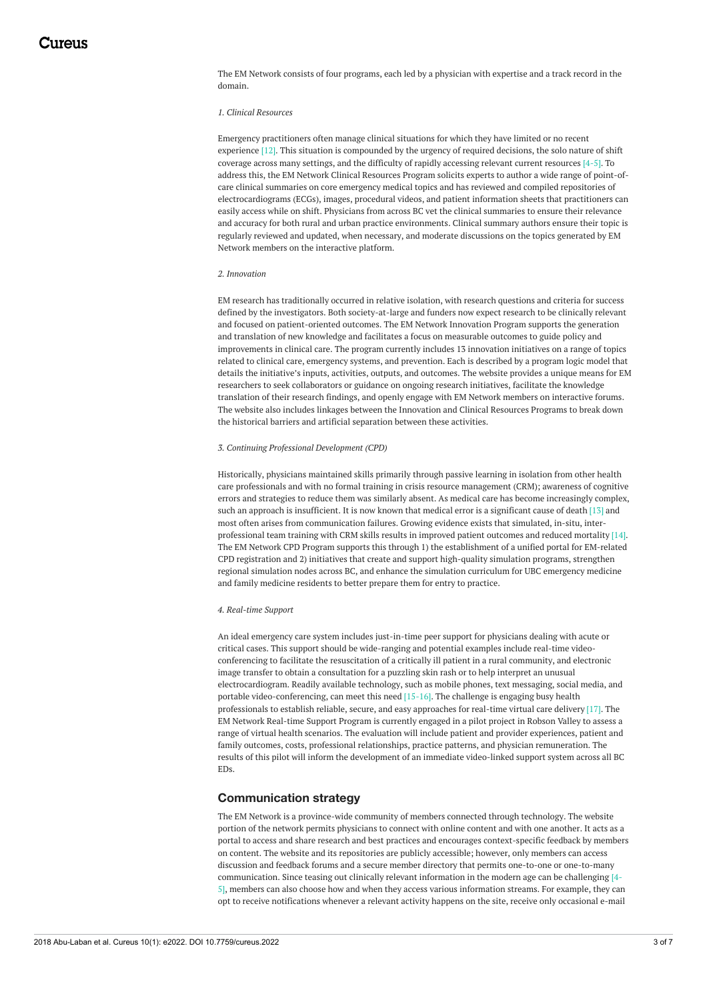The EM Network consists of four programs, each led by a physician with expertise and a track record in the domain.

#### *1. Clinical Resources*

Emergency practitioners often manage clinical situations for which they have limited or no recent experience [12]. This situation is compounded by the urgency of required decisions, the solo nature of shift coverage across many settings, and the difficulty of rapidly accessing relevant current resources [4-5]. To address this, the EM Network Clinical Resources Program solicits experts to author a wide range of point-ofcare clinical summaries on core emergency medical topics and has reviewed and compiled repositories of electrocardiograms (ECGs), images, procedural videos, and patient information sheets that practitioners can easily access while on shift. Physicians from across BC vet the clinical summaries to ensure their relevance and accuracy for both rural and urban practice environments. Clinical summary authors ensure their topic is regularly reviewed and updated, when necessary, and moderate discussions on the topics generated by EM Network members on the interactive platform.

#### *2. Innovation*

EM research has traditionally occurred in relative isolation, with research questions and criteria for success defined by the investigators. Both society-at-large and funders now expect research to be clinically relevant and focused on patient-oriented outcomes. The EM Network Innovation Program supports the generation and translation of new knowledge and facilitates a focus on measurable outcomes to guide policy and improvements in clinical care. The program currently includes 13 innovation initiatives on a range of topics related to clinical care, emergency systems, and prevention. Each is described by a program logic model that details the initiative's inputs, activities, outputs, and outcomes. The website provides a unique means for EM researchers to seek collaborators or guidance on ongoing research initiatives, facilitate the knowledge translation of their research findings, and openly engage with EM Network members on interactive forums. The website also includes linkages between the Innovation and Clinical Resources Programs to break down the historical barriers and artificial separation between these activities.

#### *3. Continuing Professional Development (CPD)*

Historically, physicians maintained skills primarily through passive learning in isolation from other health care professionals and with no formal training in crisis resource management (CRM); awareness of cognitive errors and strategies to reduce them was similarly absent. As medical care has become increasingly complex, such an approach is insufficient. It is now known that medical error is a significant cause of death [13] and most often arises from communication failures. Growing evidence exists that simulated, in-situ, interprofessional team training with CRM skills results in improved patient outcomes and reduced mortality [14]. The EM Network CPD Program supports this through 1) the establishment of a unified portal for EM-related CPD registration and 2) initiatives that create and support high-quality simulation programs, strengthen regional simulation nodes across BC, and enhance the simulation curriculum for UBC emergency medicine and family medicine residents to better prepare them for entry to practice.

#### *4. Real-time Support*

An ideal emergency care system includes just-in-time peer support for physicians dealing with acute or critical cases. This support should be wide-ranging and potential examples include real-time videoconferencing to facilitate the resuscitation of a critically ill patient in a rural community, and electronic image transfer to obtain a consultation for a puzzling skin rash or to help interpret an unusual electrocardiogram. Readily available technology, such as mobile phones, text messaging, social media, and portable video-conferencing, can meet this need  $[15-16]$ . The challenge is engaging busy health professionals to establish reliable, secure, and easy approaches for real-time virtual care delivery [17]. The EM Network Real-time Support Program is currently engaged in a pilot project in Robson Valley to assess a range of virtual health scenarios. The evaluation will include patient and provider experiences, patient and family outcomes, costs, professional relationships, practice patterns, and physician remuneration. The results of this pilot will inform the development of an immediate video-linked support system across all BC EDs.

#### **Communication strategy**

The EM Network is a province-wide community of members connected through technology. The website portion of the network permits physicians to connect with online content and with one another. It acts as a portal to access and share research and best practices and encourages context-specific feedback by members on content. The website and its repositories are publicly accessible; however, only members can access discussion and feedback forums and a secure member directory that permits one-to-one or one-to-many communication. Since teasing out clinically relevant information in the modern age can be challenging [4- 5], members can also choose how and when they access various information streams. For example, they can opt to receive notifications whenever a relevant activity happens on the site, receive only occasional e-mail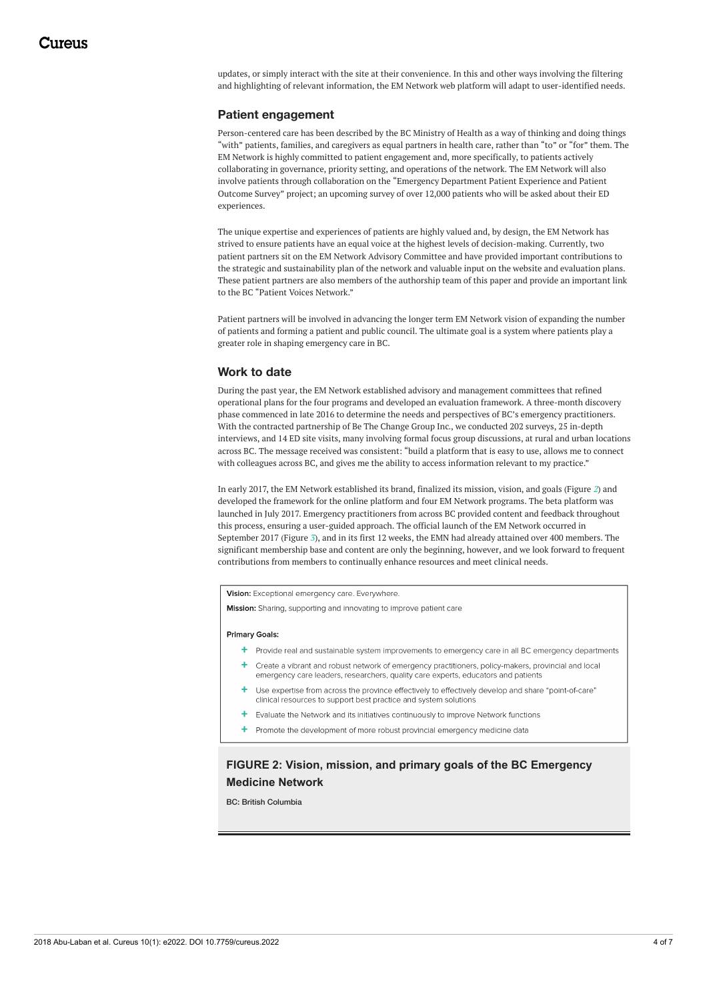updates, or simply interact with the site at their convenience. In this and other ways involving the filtering and highlighting of relevant information, the EM Network web platform will adapt to user-identified needs.

### **Patient engagement**

Person-centered care has been described by the BC Ministry of Health as a way of thinking and doing things "with" patients, families, and caregivers as equal partners in health care, rather than "to" or "for" them. The EM Network is highly committed to patient engagement and, more specifically, to patients actively collaborating in governance, priority setting, and operations of the network. The EM Network will also involve patients through collaboration on the "Emergency Department Patient Experience and Patient Outcome Survey" project; an upcoming survey of over 12,000 patients who will be asked about their ED experiences.

The unique expertise and experiences of patients are highly valued and, by design, the EM Network has strived to ensure patients have an equal voice at the highest levels of decision-making. Currently, two patient partners sit on the EM Network Advisory Committee and have provided important contributions to the strategic and sustainability plan of the network and valuable input on the website and evaluation plans. These patient partners are also members of the authorship team of this paper and provide an important link to the BC "Patient Voices Network."

Patient partners will be involved in advancing the longer term EM Network vision of expanding the number of patients and forming a patient and public council. The ultimate goal is a system where patients play a greater role in shaping emergency care in BC.

### **Work to date**

During the past year, the EM Network established advisory and management committees that refined operational plans for the four programs and developed an evaluation framework. A three-month discovery phase commenced in late 2016 to determine the needs and perspectives of BC's emergency practitioners. With the contracted partnership of Be The Change Group Inc*.*, we conducted 202 surveys, 25 in-depth interviews, and 14 ED site visits, many involving formal focus group discussions, at rural and urban locations across BC. The message received was consistent: "build a platform that is easy to use, allows me to connect with colleagues across BC, and gives me the ability to access information relevant to my practice."

In early 2017, the EM Network established its brand, finalized its mission, vision, and goals (Figure *[2](#page-3-0)*) and developed the framework for the online platform and four EM Network programs. The beta platform was launched in July 2017. Emergency practitioners from across BC provided content and feedback throughout this process, ensuring a user-guided approach. The official launch of the EM Network occurred in September 2017 (Figure *[3](#page-4-0)*), and in its first 12 weeks, the EMN had already attained over 400 members. The significant membership base and content are only the beginning, however, and we look forward to frequent contributions from members to continually enhance resources and meet clinical needs.

<span id="page-3-0"></span>Vision: Exceptional emergency care. Everywhere.

Mission: Sharing, supporting and innovating to improve patient care

#### Primary Goals:

- + Provide real and sustainable system improvements to emergency care in all BC emergency departments
- + Create a vibrant and robust network of emergency practitioners, policy-makers, provincial and local emergency care leaders, researchers, quality care experts, educators and patients
- Use expertise from across the province effectively to effectively develop and share "point-of-care" clinical resources to support best practice and system solutions
- Evaluate the Network and its initiatives continuously to improve Network functions
- **+** Promote the development of more robust provincial emergency medicine data

## **FIGURE 2: Vision, mission, and primary goals of the BC Emergency Medicine Network**

BC: British Columbia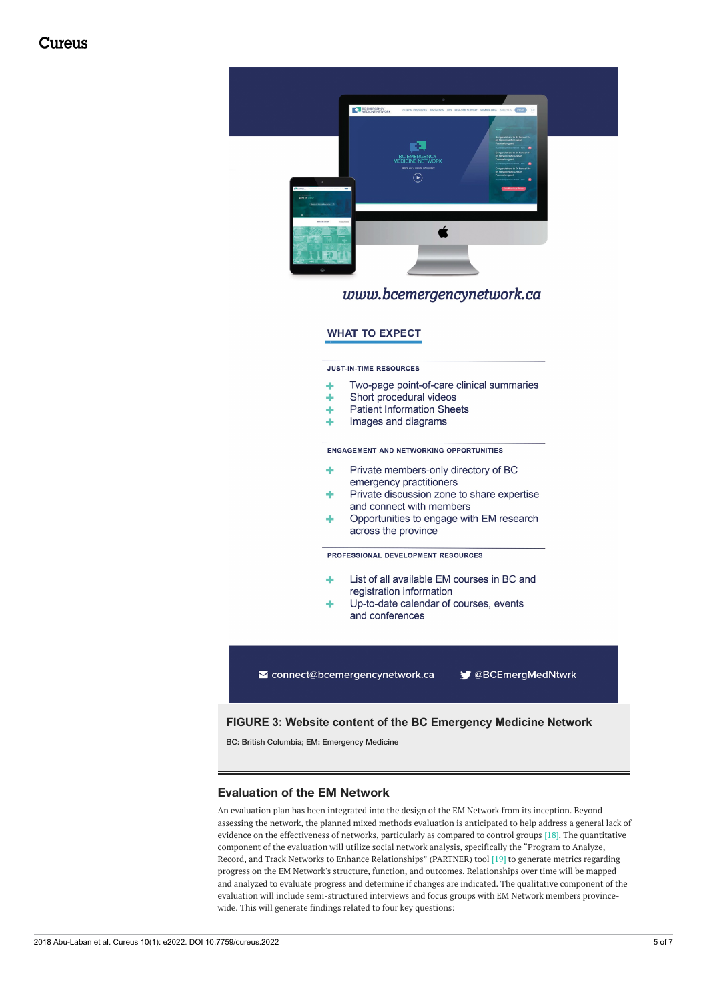## Cureus

<span id="page-4-0"></span>

## www.bcemergencynetwork.ca

### **WHAT TO EXPECT**

**JUST-IN-TIME RESOURCES** 

- Two-page point-of-care clinical summaries d.
- Short procedural videos
- **Patient Information Sheets** ٠
- Images and diagrams Ą.

**ENGAGEMENT AND NETWORKING OPPORTUNITIES** 

- Private members-only directory of BC ÷ emergency practitioners Private discussion zone to share expertise
- and connect with members
- Opportunities to engage with EM research ے ک across the province

PROFESSIONAL DEVELOPMENT RESOURCES

- List of all available EM courses in BC and registration information
- Up-to-date calendar of courses, events and conferences

connect@bcemergencynetwork.ca ● @BCEmergMedNtwrk

### **FIGURE 3: Website content of the BC Emergency Medicine Network**

BC: British Columbia; EM: Emergency Medicine

### **Evaluation of the EM Network**

An evaluation plan has been integrated into the design of the EM Network from its inception. Beyond assessing the network, the planned mixed methods evaluation is anticipated to help address a general lack of evidence on the effectiveness of networks, particularly as compared to control groups [18]. The quantitative component of the evaluation will utilize social network analysis, specifically the "Program to Analyze, Record, and Track Networks to Enhance Relationships" (PARTNER) tool [19] to generate metrics regarding progress on the EM Network's structure, function, and outcomes. Relationships over time will be mapped and analyzed to evaluate progress and determine if changes are indicated. The qualitative component of the evaluation will include semi-structured interviews and focus groups with EM Network members provincewide. This will generate findings related to four key questions: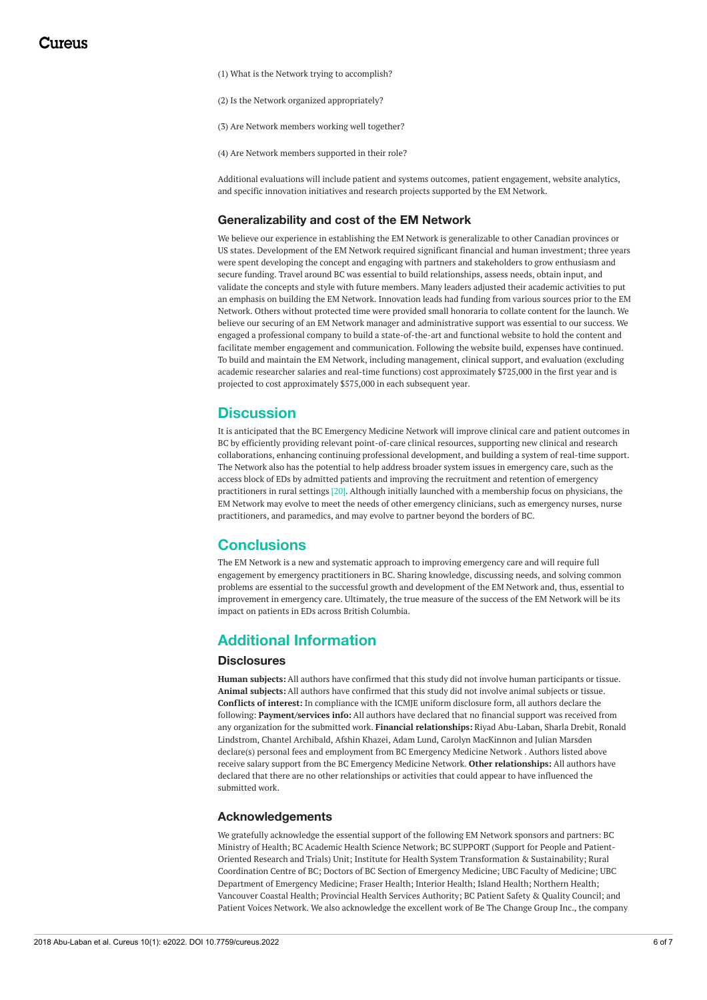(1) What is the Network trying to accomplish?

(2) Is the Network organized appropriately?

(3) Are Network members working well together?

(4) Are Network members supported in their role?

Additional evaluations will include patient and systems outcomes, patient engagement, website analytics, and specific innovation initiatives and research projects supported by the EM Network.

### **Generalizability and cost of the EM Network**

We believe our experience in establishing the EM Network is generalizable to other Canadian provinces or US states. Development of the EM Network required significant financial and human investment; three years were spent developing the concept and engaging with partners and stakeholders to grow enthusiasm and secure funding. Travel around BC was essential to build relationships, assess needs, obtain input, and validate the concepts and style with future members. Many leaders adjusted their academic activities to put an emphasis on building the EM Network. Innovation leads had funding from various sources prior to the EM Network. Others without protected time were provided small honoraria to collate content for the launch. We believe our securing of an EM Network manager and administrative support was essential to our success. We engaged a professional company to build a state-of-the-art and functional website to hold the content and facilitate member engagement and communication. Following the website build, expenses have continued. To build and maintain the EM Network, including management, clinical support, and evaluation (excluding academic researcher salaries and real-time functions) cost approximately \$725,000 in the first year and is projected to cost approximately \$575,000 in each subsequent year.

## **Discussion**

It is anticipated that the BC Emergency Medicine Network will improve clinical care and patient outcomes in BC by efficiently providing relevant point-of-care clinical resources, supporting new clinical and research collaborations, enhancing continuing professional development, and building a system of real-time support. The Network also has the potential to help address broader system issues in emergency care, such as the access block of EDs by admitted patients and improving the recruitment and retention of emergency practitioners in rural settings [20]. Although initially launched with a membership focus on physicians, the EM Network may evolve to meet the needs of other emergency clinicians, such as emergency nurses, nurse practitioners, and paramedics, and may evolve to partner beyond the borders of BC.

## **Conclusions**

The EM Network is a new and systematic approach to improving emergency care and will require full engagement by emergency practitioners in BC. Sharing knowledge, discussing needs, and solving common problems are essential to the successful growth and development of the EM Network and, thus, essential to improvement in emergency care. Ultimately, the true measure of the success of the EM Network will be its impact on patients in EDs across British Columbia.

## **Additional Information**

### **Disclosures**

**Human subjects:** All authors have confirmed that this study did not involve human participants or tissue. **Animal subjects:** All authors have confirmed that this study did not involve animal subjects or tissue. **Conflicts of interest:** In compliance with the ICMJE uniform disclosure form, all authors declare the following: **Payment/services info:** All authors have declared that no financial support was received from any organization for the submitted work. **Financial relationships:** Riyad Abu-Laban, Sharla Drebit, Ronald Lindstrom, Chantel Archibald, Afshin Khazei, Adam Lund, Carolyn MacKinnon and Julian Marsden declare(s) personal fees and employment from BC Emergency Medicine Network . Authors listed above receive salary support from the BC Emergency Medicine Network. **Other relationships:** All authors have declared that there are no other relationships or activities that could appear to have influenced the submitted work.

#### **Acknowledgements**

We gratefully acknowledge the essential support of the following EM Network sponsors and partners: BC Ministry of Health; BC Academic Health Science Network; BC SUPPORT (Support for People and Patient-Oriented Research and Trials) Unit; Institute for Health System Transformation & Sustainability; Rural Coordination Centre of BC; Doctors of BC Section of Emergency Medicine; UBC Faculty of Medicine; UBC Department of Emergency Medicine; Fraser Health; Interior Health; Island Health; Northern Health; Vancouver Coastal Health; Provincial Health Services Authority; BC Patient Safety & Quality Council; and Patient Voices Network. We also acknowledge the excellent work of Be The Change Group Inc., the company